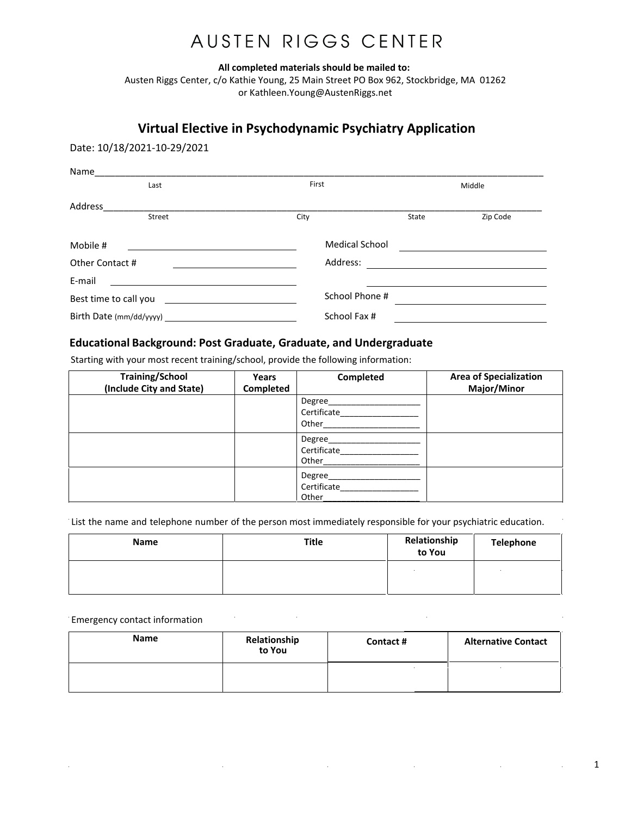## AUSTEN RIGGS CENTER

All completed materials should be mailed to:

Austen Riggs Center, c/o Kathie Young, 25 Main Street PO Box 962, Stockbridge, MA 01262 or Kathleen. Young@AustenRiggs.net

### Virtual Elective in Psychodynamic Psychiatry Application

Date: 10/18/2021-10-29/2021

| Name                  |        |                       |       |          |
|-----------------------|--------|-----------------------|-------|----------|
|                       | Last   | First                 |       | Middle   |
| Address               |        |                       |       |          |
|                       | Street | City                  | State | Zip Code |
| Mobile #              |        | <b>Medical School</b> |       |          |
| Other Contact #       |        | Address:              |       |          |
| E-mail                |        |                       |       |          |
| Best time to call you |        | School Phone #        |       |          |
|                       |        | School Fax #          |       |          |

### **Educational Background: Post Graduate, Graduate, and Undergraduate**

Starting with your most recent training/school, provide the following information:

| <b>Training/School</b><br>(Include City and State) | Years<br>Completed | Completed                      | <b>Area of Specialization</b><br>Major/Minor |
|----------------------------------------------------|--------------------|--------------------------------|----------------------------------------------|
|                                                    |                    | Degree<br>Certificate<br>Other |                                              |
|                                                    |                    | Degree<br>Certificate<br>Other |                                              |
|                                                    |                    | Degree<br>Certificate<br>Other |                                              |

List the name and telephone number of the person most immediately responsible for your psychiatric education.

| Name | <b>Title</b> | Relationship<br>to You | Telephone |
|------|--------------|------------------------|-----------|
|      |              |                        |           |

#### Emergency contact information  $\mathcal{L}$

| Name | Relationship<br>to You | Contact # | <b>Alternative Contact</b> |
|------|------------------------|-----------|----------------------------|
|      |                        |           |                            |